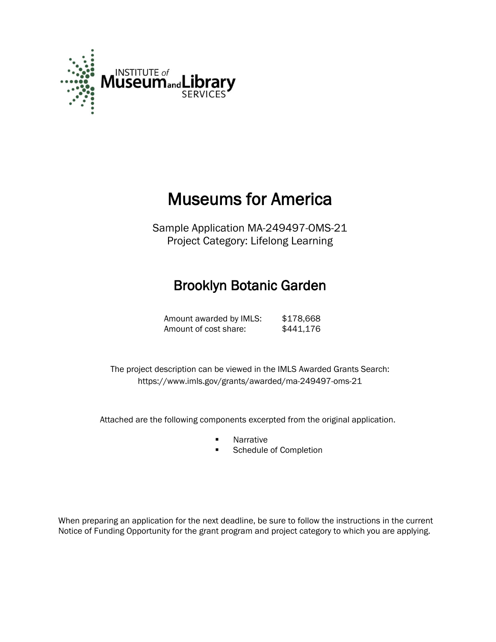

# Museums for America

Sample Application MA-249497-OMS-21 Project Category: Lifelong Learning

## Brooklyn Botanic Garden

Amount awarded by IMLS: \$178,668 Amount of cost share: \$441,176

 The project description can be viewed in the IMLS Awarded Grants Search: <https://www.imls.gov/grants/awarded/ma-249497-oms-21>

Attached are the following components excerpted from the original application.

- **Narrative**
- **Schedule of Completion**

When preparing an application for the next deadline, be sure to follow the instructions in the current Notice of Funding Opportunity for the grant program and project category to which you are applying.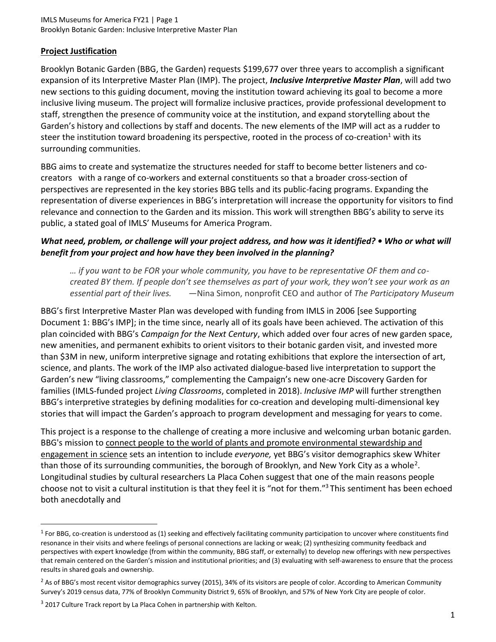## **Project Justification**

Brooklyn Botanic Garden (BBG, the Garden) requests \$199,677 over three years to accomplish a significant expansion of its Interpretive Master Plan (IMP). The project, *Inclusive Interpretive Master Plan*, will add two new sections to this guiding document, moving the institution toward achieving its goal to become a more inclusive living museum. The project will formalize inclusive practices, provide professional development to staff, strengthen the presence of community voice at the institution, and expand storytelling about the Garden's history and collections by staff and docents. The new elements of the IMP will act as a rudder to steer the institution toward broadening its perspective, rooted in the process of co-creation<sup>1</sup> with its surrounding communities.

BBG aims to create and systematize the structures needed for staff to become better listeners and cocreators with a range of co-workers and external constituents so that a broader cross-section of perspectives are represented in the key stories BBG tells and its public-facing programs. Expanding the representation of diverse experiences in BBG's interpretation will increase the opportunity for visitors to find relevance and connection to the Garden and its mission. This work will strengthen BBG's ability to serve its public, a stated goal of IMLS' Museums for America Program.

## *What need, problem, or challenge will your project address, and how was it identified? • Who or what will benefit from your project and how have they been involved in the planning?*

*… if you want to be FOR your whole community, you have to be representative OF them and cocreated BY them. If people don't see themselves as part of your work, they won't see your work as an essential part of their lives. —*Nina Simon, nonprofit CEO and author of *The Participatory Museum*

BBG's first Interpretive Master Plan was developed with funding from IMLS in 2006 [see Supporting Document 1: BBG's IMP]; in the time since, nearly all of its goals have been achieved. The activation of this plan coincided with BBG's *Campaign for the Next Century*, which added over four acres of new garden space, new amenities, and permanent exhibits to orient visitors to their botanic garden visit, and invested more than \$3M in new, uniform interpretive signage and rotating exhibitions that explore the intersection of art, science, and plants. The work of the IMP also activated dialogue-based live interpretation to support the Garden's new "living classrooms," complementing the Campaign's new one-acre Discovery Garden for families (IMLS-funded project *Living Classrooms*, completed in 2018). *Inclusive IMP* will further strengthen BBG's interpretive strategies by defining modalities for co-creation and developing multi-dimensional key stories that will impact the Garden's approach to program development and messaging for years to come.

This project is a response to the challenge of creating a more inclusive and welcoming urban botanic garden. BBG's mission to connect people to the world of plants and promote environmental stewardship and engagement in science sets an intention to include *everyone,* yet BBG's visitor demographics skew Whiter than those of its surrounding communities, the borough of Brooklyn, and New York City as a whole<sup>2</sup>. Longitudinal studies by cultural researchers La Placa Cohen suggest that one of the main reasons people choose not to visit a cultural institution is that they feel it is "not for them."<sup>3</sup> This sentiment has been echoed both anecdotally and

 $^1$  For BBG, co-creation is understood as (1) seeking and effectively facilitating community participation to uncover where constituents find resonance in their visits and where feelings of personal connections are lacking or weak; (2) synthesizing community feedback and perspectives with expert knowledge (from within the community, BBG staff, or externally) to develop new offerings with new perspectives that remain centered on the Garden's mission and institutional priorities; and (3) evaluating with self-awareness to ensure that the process results in shared goals and ownership.

<sup>&</sup>lt;sup>2</sup> As of BBG's most recent visitor demographics survey (2015), 34% of its visitors are people of color. According to American Community Survey's 2019 census data, 77% of Brooklyn Community District 9, 65% of Brooklyn, and 57% of New York City are people of color.

<sup>&</sup>lt;sup>3</sup> 2017 Culture Track report by La Placa Cohen in partnership with Kelton.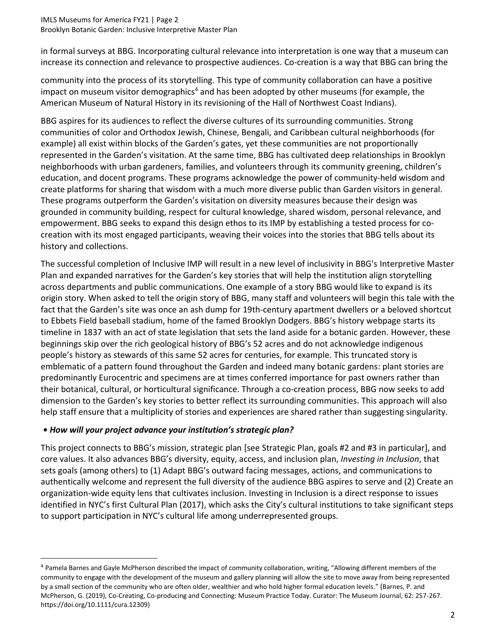in formal surveys at BBG. Incorporating cultural relevance into interpretation is one way that a museum can increase its connection and relevance to prospective audiences. Co-creation is a way that BBG can bring the

community into the process of its storytelling. This type of community collaboration can have a positive impact on museum visitor demographics<sup>4</sup> and has been adopted by other museums (for example, the American Museum of Natural History in its revisioning of the Hall of Northwest Coast Indians).

BBG aspires for its audiences to reflect the diverse cultures of its surrounding communities. Strong communities of color and Orthodox Jewish, Chinese, Bengali, and Caribbean cultural neighborhoods (for example) all exist within blocks of the Garden's gates, yet these communities are not proportionally represented in the Garden's visitation. At the same time, BBG has cultivated deep relationships in Brooklyn neighborhoods with urban gardeners, families, and volunteers through its community greening, children's education, and docent programs. These programs acknowledge the power of community-held wisdom and create platforms for sharing that wisdom with a much more diverse public than Garden visitors in general. These programs outperform the Garden's visitation on diversity measures because their design was grounded in community building, respect for cultural knowledge, shared wisdom, personal relevance, and empowerment. BBG seeks to expand this design ethos to its IMP by establishing a tested process for cocreation with its most engaged participants, weaving their voices into the stories that BBG tells about its history and collections.

The successful completion of Inclusive IMP will result in a new level of inclusivity in BBG's Interpretive Master Plan and expanded narratives for the Garden's key stories that will help the institution align storytelling across departments and public communications. One example of a story BBG would like to expand is its origin story. When asked to tell the origin story of BBG, many staff and volunteers will begin this tale with the fact that the Garden's site was once an ash dump for 19th-century apartment dwellers or a beloved shortcut to Ebbets Field baseball stadium, home of the famed Brooklyn Dodgers. BBG's history webpage starts its timeline in 1837 with an act of state legislation that sets the land aside for a botanic garden. However, these beginnings skip over the rich geological history of BBG's 52 acres and do not acknowledge indigenous people's history as stewards of this same 52 acres for centuries, for example. This truncated story is emblematic of a pattern found throughout the Garden and indeed many botanic gardens: plant stories are predominantly Eurocentric and specimens are at times conferred importance for past owners rather than their botanical, cultural, or horticultural significance. Through a co-creation process, BBG now seeks to add dimension to the Garden's key stories to better reflect its surrounding communities. This approach will also help staff ensure that a multiplicity of stories and experiences are shared rather than suggesting singularity.

## *• How will your project advance your institution's strategic plan?*

This project connects to BBG's mission, strategic plan [see Strategic Plan, goals #2 and #3 in particular], and core values. It also advances BBG's diversity, equity, access, and inclusion plan, *Investing in Inclusion*, that sets goals (among others) to (1) Adapt BBG's outward facing messages, actions, and communications to authentically welcome and represent the full diversity of the audience BBG aspires to serve and (2) Create an organization-wide equity lens that cultivates inclusion. Investing in Inclusion is a direct response to issues identified in NYC's first Cultural Plan (2017), which asks the City's cultural institutions to take significant steps to support participation in NYC's cultural life among underrepresented groups.

<sup>&</sup>lt;sup>4</sup> Pamela Barnes and Gayle McPherson described the impact of community collaboration, writing, "Allowing different members of the community to engage with the development of the museum and gallery planning will allow the site to move away from being represented by a small section of the community who are often older, wealthier and who hold higher formal education levels." (Barnes, P. and McPherson, G. (2019), Co‐Creating, Co‐producing and Connecting: Museum Practice Today. Curator: The Museum Journal, 62: 257-267. https://doi.org/10.1111/cura.12309)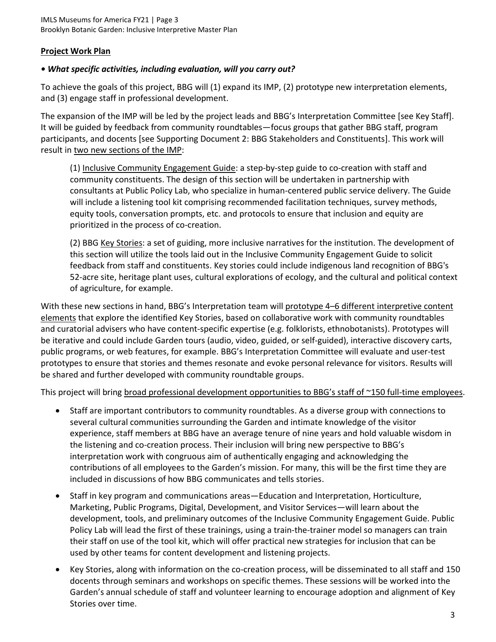## **Project Work Plan**

## *• What specific activities, including evaluation, will you carry out?*

To achieve the goals of this project, BBG will (1) expand its IMP, (2) prototype new interpretation elements, and (3) engage staff in professional development.

The expansion of the IMP will be led by the project leads and BBG's Interpretation Committee [see Key Staff]. It will be guided by feedback from community roundtables—focus groups that gather BBG staff, program participants, and docents [see Supporting Document 2: BBG Stakeholders and Constituents]. This work will result in two new sections of the IMP:

(1) Inclusive Community Engagement Guide: a step-by-step guide to co-creation with staff and community constituents. The design of this section will be undertaken in partnership with consultants at Public Policy Lab, who specialize in human-centered public service delivery. The Guide will include a listening tool kit comprising recommended facilitation techniques, survey methods, equity tools, conversation prompts, etc. and protocols to ensure that inclusion and equity are prioritized in the process of co-creation.

(2) BBG Key Stories: a set of guiding, more inclusive narratives for the institution. The development of this section will utilize the tools laid out in the Inclusive Community Engagement Guide to solicit feedback from staff and constituents. Key stories could include indigenous land recognition of BBG's 52-acre site, heritage plant uses, cultural explorations of ecology, and the cultural and political context of agriculture, for example.

With these new sections in hand, BBG's Interpretation team will prototype 4–6 different interpretive content elements that explore the identified Key Stories, based on collaborative work with community roundtables and curatorial advisers who have content-specific expertise (e.g. folklorists, ethnobotanists). Prototypes will be iterative and could include Garden tours (audio, video, guided, or self-guided), interactive discovery carts, public programs, or web features, for example. BBG's Interpretation Committee will evaluate and user-test prototypes to ensure that stories and themes resonate and evoke personal relevance for visitors. Results will be shared and further developed with community roundtable groups.

This project will bring broad professional development opportunities to BBG's staff of ~150 full-time employees.

- Staff are important contributors to community roundtables. As a diverse group with connections to several cultural communities surrounding the Garden and intimate knowledge of the visitor experience, staff members at BBG have an average tenure of nine years and hold valuable wisdom in the listening and co-creation process. Their inclusion will bring new perspective to BBG's interpretation work with congruous aim of authentically engaging and acknowledging the contributions of all employees to the Garden's mission. For many, this will be the first time they are included in discussions of how BBG communicates and tells stories.
- Staff in key program and communications areas—Education and Interpretation, Horticulture, Marketing, Public Programs, Digital, Development, and Visitor Services—will learn about the development, tools, and preliminary outcomes of the Inclusive Community Engagement Guide. Public Policy Lab will lead the first of these trainings, using a train-the-trainer model so managers can train their staff on use of the tool kit, which will offer practical new strategies for inclusion that can be used by other teams for content development and listening projects.
- Key Stories, along with information on the co-creation process, will be disseminated to all staff and 150 docents through seminars and workshops on specific themes. These sessions will be worked into the Garden's annual schedule of staff and volunteer learning to encourage adoption and alignment of Key Stories over time.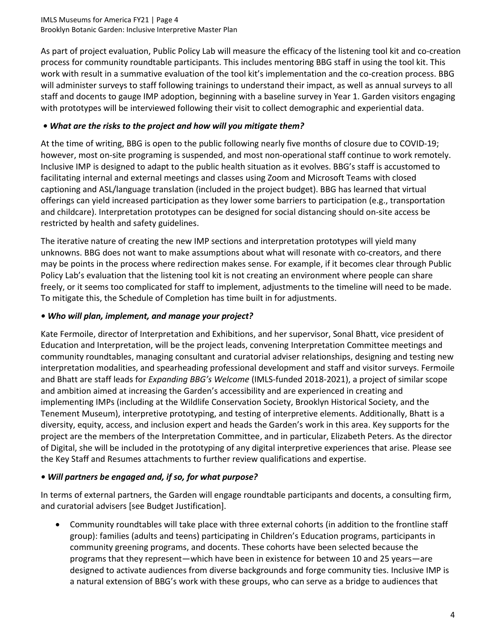#### IMLS Museums for America FY21 | Page 4 Brooklyn Botanic Garden: Inclusive Interpretive Master Plan

As part of project evaluation, Public Policy Lab will measure the efficacy of the listening tool kit and co-creation process for community roundtable participants. This includes mentoring BBG staff in using the tool kit. This work with result in a summative evaluation of the tool kit's implementation and the co-creation process. BBG will administer surveys to staff following trainings to understand their impact, as well as annual surveys to all staff and docents to gauge IMP adoption, beginning with a baseline survey in Year 1. Garden visitors engaging with prototypes will be interviewed following their visit to collect demographic and experiential data.

## *• What are the risks to the project and how will you mitigate them?*

At the time of writing, BBG is open to the public following nearly five months of closure due to COVID-19; however, most on-site programing is suspended, and most non-operational staff continue to work remotely. Inclusive IMP is designed to adapt to the public health situation as it evolves. BBG's staff is accustomed to facilitating internal and external meetings and classes using Zoom and Microsoft Teams with closed captioning and ASL/language translation (included in the project budget). BBG has learned that virtual offerings can yield increased participation as they lower some barriers to participation (e.g., transportation and childcare). Interpretation prototypes can be designed for social distancing should on-site access be restricted by health and safety guidelines.

The iterative nature of creating the new IMP sections and interpretation prototypes will yield many unknowns. BBG does not want to make assumptions about what will resonate with co-creators, and there may be points in the process where redirection makes sense. For example, if it becomes clear through Public Policy Lab's evaluation that the listening tool kit is not creating an environment where people can share freely, or it seems too complicated for staff to implement, adjustments to the timeline will need to be made. To mitigate this, the Schedule of Completion has time built in for adjustments.

## *• Who will plan, implement, and manage your project?*

Kate Fermoile, director of Interpretation and Exhibitions, and her supervisor, Sonal Bhatt, vice president of Education and Interpretation, will be the project leads, convening Interpretation Committee meetings and community roundtables, managing consultant and curatorial adviser relationships, designing and testing new interpretation modalities, and spearheading professional development and staff and visitor surveys. Fermoile and Bhatt are staff leads for *Expanding BBG's Welcome* (IMLS-funded 2018-2021), a project of similar scope and ambition aimed at increasing the Garden's accessibility and are experienced in creating and implementing IMPs (including at the Wildlife Conservation Society, Brooklyn Historical Society, and the Tenement Museum), interpretive prototyping, and testing of interpretive elements. Additionally, Bhatt is a diversity, equity, access, and inclusion expert and heads the Garden's work in this area. Key supports for the project are the members of the Interpretation Committee, and in particular, Elizabeth Peters. As the director of Digital, she will be included in the prototyping of any digital interpretive experiences that arise. Please see the Key Staff and Resumes attachments to further review qualifications and expertise.

## *• Will partners be engaged and, if so, for what purpose?*

In terms of external partners, the Garden will engage roundtable participants and docents, a consulting firm, and curatorial advisers [see Budget Justification].

• Community roundtables will take place with three external cohorts (in addition to the frontline staff group): families (adults and teens) participating in Children's Education programs, participants in community greening programs, and docents. These cohorts have been selected because the programs that they represent—which have been in existence for between 10 and 25 years—are designed to activate audiences from diverse backgrounds and forge community ties. Inclusive IMP is a natural extension of BBG's work with these groups, who can serve as a bridge to audiences that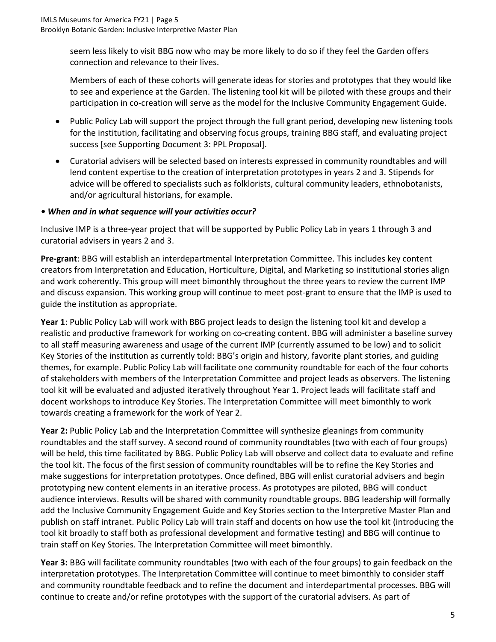seem less likely to visit BBG now who may be more likely to do so if they feel the Garden offers connection and relevance to their lives.

Members of each of these cohorts will generate ideas for stories and prototypes that they would like to see and experience at the Garden. The listening tool kit will be piloted with these groups and their participation in co-creation will serve as the model for the Inclusive Community Engagement Guide.

- Public Policy Lab will support the project through the full grant period, developing new listening tools for the institution, facilitating and observing focus groups, training BBG staff, and evaluating project success [see Supporting Document 3: PPL Proposal].
- Curatorial advisers will be selected based on interests expressed in community roundtables and will lend content expertise to the creation of interpretation prototypes in years 2 and 3. Stipends for advice will be offered to specialists such as folklorists, cultural community leaders, ethnobotanists, and/or agricultural historians, for example.

## *• When and in what sequence will your activities occur?*

Inclusive IMP is a three-year project that will be supported by Public Policy Lab in years 1 through 3 and curatorial advisers in years 2 and 3.

**Pre-grant**: BBG will establish an interdepartmental Interpretation Committee. This includes key content creators from Interpretation and Education, Horticulture, Digital, and Marketing so institutional stories align and work coherently. This group will meet bimonthly throughout the three years to review the current IMP and discuss expansion. This working group will continue to meet post-grant to ensure that the IMP is used to guide the institution as appropriate.

**Year 1**: Public Policy Lab will work with BBG project leads to design the listening tool kit and develop a realistic and productive framework for working on co-creating content. BBG will administer a baseline survey to all staff measuring awareness and usage of the current IMP (currently assumed to be low) and to solicit Key Stories of the institution as currently told: BBG's origin and history, favorite plant stories, and guiding themes, for example. Public Policy Lab will facilitate one community roundtable for each of the four cohorts of stakeholders with members of the Interpretation Committee and project leads as observers. The listening tool kit will be evaluated and adjusted iteratively throughout Year 1. Project leads will facilitate staff and docent workshops to introduce Key Stories. The Interpretation Committee will meet bimonthly to work towards creating a framework for the work of Year 2.

**Year 2:** Public Policy Lab and the Interpretation Committee will synthesize gleanings from community roundtables and the staff survey. A second round of community roundtables (two with each of four groups) will be held, this time facilitated by BBG. Public Policy Lab will observe and collect data to evaluate and refine the tool kit. The focus of the first session of community roundtables will be to refine the Key Stories and make suggestions for interpretation prototypes. Once defined, BBG will enlist curatorial advisers and begin prototyping new content elements in an iterative process. As prototypes are piloted, BBG will conduct audience interviews. Results will be shared with community roundtable groups. BBG leadership will formally add the Inclusive Community Engagement Guide and Key Stories section to the Interpretive Master Plan and publish on staff intranet. Public Policy Lab will train staff and docents on how use the tool kit (introducing the tool kit broadly to staff both as professional development and formative testing) and BBG will continue to train staff on Key Stories. The Interpretation Committee will meet bimonthly.

**Year 3:** BBG will facilitate community roundtables (two with each of the four groups) to gain feedback on the interpretation prototypes. The Interpretation Committee will continue to meet bimonthly to consider staff and community roundtable feedback and to refine the document and interdepartmental processes. BBG will continue to create and/or refine prototypes with the support of the curatorial advisers. As part of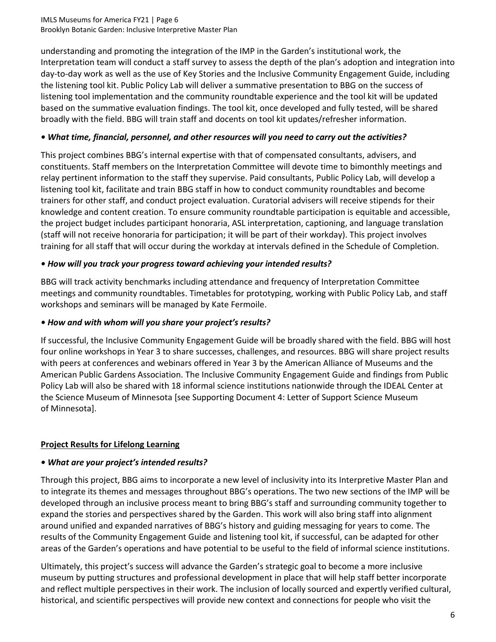#### IMLS Museums for America FY21 | Page 6 Brooklyn Botanic Garden: Inclusive Interpretive Master Plan

understanding and promoting the integration of the IMP in the Garden's institutional work, the Interpretation team will conduct a staff survey to assess the depth of the plan's adoption and integration into day-to-day work as well as the use of Key Stories and the Inclusive Community Engagement Guide, including the listening tool kit. Public Policy Lab will deliver a summative presentation to BBG on the success of listening tool implementation and the community roundtable experience and the tool kit will be updated based on the summative evaluation findings. The tool kit, once developed and fully tested, will be shared broadly with the field. BBG will train staff and docents on tool kit updates/refresher information.

## *• What time, financial, personnel, and other resources will you need to carry out the activities?*

This project combines BBG's internal expertise with that of compensated consultants, advisers, and constituents. Staff members on the Interpretation Committee will devote time to bimonthly meetings and relay pertinent information to the staff they supervise. Paid consultants, Public Policy Lab, will develop a listening tool kit, facilitate and train BBG staff in how to conduct community roundtables and become trainers for other staff, and conduct project evaluation. Curatorial advisers will receive stipends for their knowledge and content creation. To ensure community roundtable participation is equitable and accessible, the project budget includes participant honoraria, ASL interpretation, captioning, and language translation (staff will not receive honoraria for participation; it will be part of their workday). This project involves training for all staff that will occur during the workday at intervals defined in the Schedule of Completion.

## *• How will you track your progress toward achieving your intended results?*

BBG will track activity benchmarks including attendance and frequency of Interpretation Committee meetings and community roundtables. Timetables for prototyping, working with Public Policy Lab, and staff workshops and seminars will be managed by Kate Fermoile.

## *• How and with whom will you share your project's results?*

If successful, the Inclusive Community Engagement Guide will be broadly shared with the field. BBG will host four online workshops in Year 3 to share successes, challenges, and resources. BBG will share project results with peers at conferences and webinars offered in Year 3 by the American Alliance of Museums and the American Public Gardens Association. The Inclusive Community Engagement Guide and findings from Public Policy Lab will also be shared with 18 informal science institutions nationwide through the IDEAL Center at the Science Museum of Minnesota [see Supporting Document 4: Letter of Support Science Museum of Minnesota].

## **Project Results for Lifelong Learning**

## *• What are your project's intended results?*

Through this project, BBG aims to incorporate a new level of inclusivity into its Interpretive Master Plan and to integrate its themes and messages throughout BBG's operations. The two new sections of the IMP will be developed through an inclusive process meant to bring BBG's staff and surrounding community together to expand the stories and perspectives shared by the Garden. This work will also bring staff into alignment around unified and expanded narratives of BBG's history and guiding messaging for years to come. The results of the Community Engagement Guide and listening tool kit, if successful, can be adapted for other areas of the Garden's operations and have potential to be useful to the field of informal science institutions.

Ultimately, this project's success will advance the Garden's strategic goal to become a more inclusive museum by putting structures and professional development in place that will help staff better incorporate and reflect multiple perspectives in their work. The inclusion of locally sourced and expertly verified cultural, historical, and scientific perspectives will provide new context and connections for people who visit the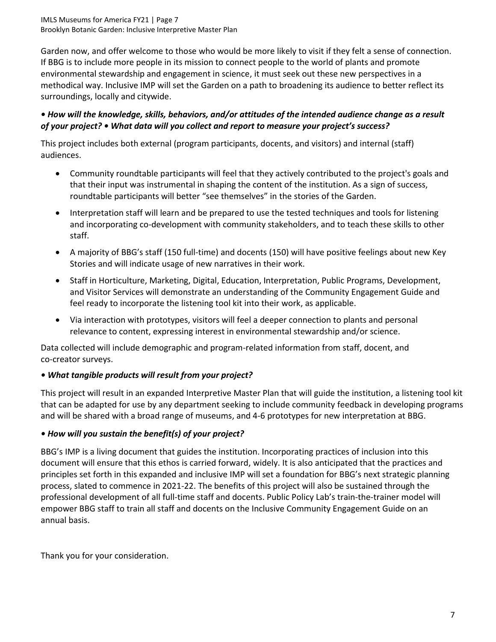IMLS Museums for America FY21 | Page 7 Brooklyn Botanic Garden: Inclusive Interpretive Master Plan

Garden now, and offer welcome to those who would be more likely to visit if they felt a sense of connection. If BBG is to include more people in its mission to connect people to the world of plants and promote environmental stewardship and engagement in science, it must seek out these new perspectives in a methodical way. Inclusive IMP will set the Garden on a path to broadening its audience to better reflect its surroundings, locally and citywide.

## *• How will the knowledge, skills, behaviors, and/or attitudes of the intended audience change as a result of your project? • What data will you collect and report to measure your project's success?*

This project includes both external (program participants, docents, and visitors) and internal (staff) audiences.

- Community roundtable participants will feel that they actively contributed to the project's goals and that their input was instrumental in shaping the content of the institution. As a sign of success, roundtable participants will better "see themselves" in the stories of the Garden.
- Interpretation staff will learn and be prepared to use the tested techniques and tools for listening and incorporating co-development with community stakeholders, and to teach these skills to other staff.
- A majority of BBG's staff (150 full-time) and docents (150) will have positive feelings about new Key Stories and will indicate usage of new narratives in their work.
- Staff in Horticulture, Marketing, Digital, Education, Interpretation, Public Programs, Development, and Visitor Services will demonstrate an understanding of the Community Engagement Guide and feel ready to incorporate the listening tool kit into their work, as applicable.
- Via interaction with prototypes, visitors will feel a deeper connection to plants and personal relevance to content, expressing interest in environmental stewardship and/or science.

Data collected will include demographic and program-related information from staff, docent, and co-creator surveys.

## *• What tangible products will result from your project?*

This project will result in an expanded Interpretive Master Plan that will guide the institution, a listening tool kit that can be adapted for use by any department seeking to include community feedback in developing programs and will be shared with a broad range of museums, and 4-6 prototypes for new interpretation at BBG.

## *• How will you sustain the benefit(s) of your project?*

BBG's IMP is a living document that guides the institution. Incorporating practices of inclusion into this document will ensure that this ethos is carried forward, widely. It is also anticipated that the practices and principles set forth in this expanded and inclusive IMP will set a foundation for BBG's next strategic planning process, slated to commence in 2021-22. The benefits of this project will also be sustained through the professional development of all full-time staff and docents. Public Policy Lab's train-the-trainer model will empower BBG staff to train all staff and docents on the Inclusive Community Engagement Guide on an annual basis.

Thank you for your consideration.